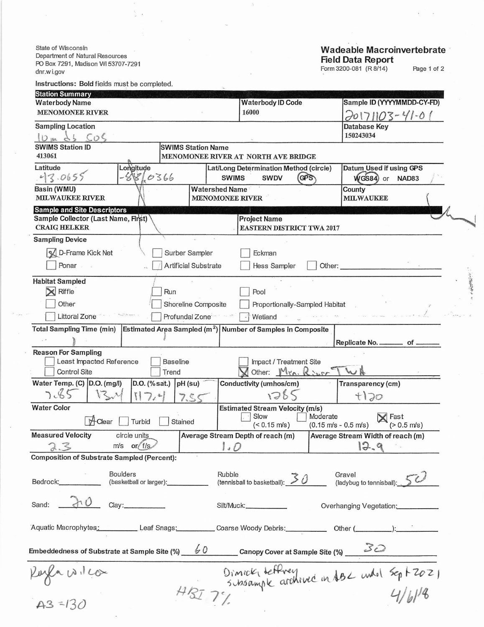State of Wisconsin Department of Natural Resources PO Box 7291, Madison WI 53707-7291 dnr.wi.gov

## Wadeable Macroinvertebrate<br>Field Data Report<br>Form 3200-081 (R8/14) Page 1 of 2

| Instructions: Bold fields must be completed.                                                      |                                |                                                                       |                                                                                                       |  |  |  |
|---------------------------------------------------------------------------------------------------|--------------------------------|-----------------------------------------------------------------------|-------------------------------------------------------------------------------------------------------|--|--|--|
| <b>Station Summary</b>                                                                            |                                |                                                                       |                                                                                                       |  |  |  |
| <b>Waterbody Name</b>                                                                             |                                | <b>Waterbody ID Code</b>                                              | Sample ID (YYYYMMDD-CY-FD)                                                                            |  |  |  |
| <b>MENOMONEE RIVER</b>                                                                            |                                | 16000                                                                 | 20171103-41-01                                                                                        |  |  |  |
| <b>Sampling Location</b>                                                                          |                                |                                                                       | Database Key<br>150243034                                                                             |  |  |  |
| $10m$ ds $505$<br><b>SWIMS Station ID</b>                                                         |                                |                                                                       |                                                                                                       |  |  |  |
| 413061                                                                                            | <b>SWIMS Station Name</b>      | MENOMONEE RIVER AT NORTH AVE BRIDGE                                   |                                                                                                       |  |  |  |
| Latitude<br>Longitude                                                                             | Datum Used if using GPS        |                                                                       |                                                                                                       |  |  |  |
| 43.0655<br>$-881.0366$                                                                            |                                | Lat/Long Determination Method (circle)<br><b>SWIMS</b><br><b>SWDV</b> | (GPS)<br>WGS84) or NAD83                                                                              |  |  |  |
| Basin (WMU)                                                                                       | <b>Watershed Name</b>          |                                                                       | County                                                                                                |  |  |  |
| <b>MILWAUKEE RIVER</b>                                                                            |                                | <b>MENOMONEE RIVER</b>                                                | <b>MILWAUKEE</b>                                                                                      |  |  |  |
| <b>Sample and Site Descriptors</b>                                                                |                                |                                                                       |                                                                                                       |  |  |  |
| Sample Collector (Last Name, First)                                                               |                                | <b>Project Name</b>                                                   |                                                                                                       |  |  |  |
| <b>CRAIG HELKER</b>                                                                               |                                | <b>EASTERN DISTRICT TWA 2017</b>                                      |                                                                                                       |  |  |  |
| <b>Sampling Device</b>                                                                            |                                |                                                                       |                                                                                                       |  |  |  |
| <b>X</b> D-Frame Kick Net                                                                         | Surber Sampler                 | Eckman                                                                |                                                                                                       |  |  |  |
| Ponar                                                                                             | Artificial Substrate           | Hess Sampler                                                          | Other:                                                                                                |  |  |  |
|                                                                                                   |                                |                                                                       |                                                                                                       |  |  |  |
| <b>Habitat Sampled</b>                                                                            |                                |                                                                       |                                                                                                       |  |  |  |
| $\mathbb{\times}$ Riffle                                                                          | Run                            |                                                                       | Pool                                                                                                  |  |  |  |
| Other                                                                                             | Shoreline Composite            | Proportionally-Sampled Habitat                                        |                                                                                                       |  |  |  |
| <b>Littoral Zone</b>                                                                              | Profundal Zone <sup>-</sup>    | Wetland                                                               |                                                                                                       |  |  |  |
| Total Sampling Time (min) Estimated Area Sampled (m <sup>2</sup> ) Number of Samples in Composite |                                |                                                                       |                                                                                                       |  |  |  |
|                                                                                                   |                                |                                                                       | Replicate No. _________ of _                                                                          |  |  |  |
| <b>Reason For Sampling</b>                                                                        |                                |                                                                       |                                                                                                       |  |  |  |
| Least Impacted Reference                                                                          | <b>Baseline</b>                | Impact / Treatment Site                                               |                                                                                                       |  |  |  |
| <b>Control Site</b>                                                                               | Trend                          | Other: Mrn. River                                                     | WA                                                                                                    |  |  |  |
| Water Temp. (C) D.O. (mg/l)                                                                       | $D.O.$ (% sat.) $pH$ (su)      | Conductivity (umhos/cm)                                               | Transparency (cm)                                                                                     |  |  |  |
| 7.85<br>$V_{\geq v}$                                                                              | 7.5c                           | 1285                                                                  | f120                                                                                                  |  |  |  |
| <b>Water Color</b>                                                                                |                                |                                                                       |                                                                                                       |  |  |  |
|                                                                                                   |                                | <b>Estimated Stream Velocity (m/s)</b><br>Slow                        | Moderate<br>$\mathsf{X}$ Fast                                                                         |  |  |  |
| H-Clear<br>Turbid                                                                                 | Stained                        | $($ < 0.15 m/s)                                                       | $(0.15 \text{ m/s} - 0.5 \text{ m/s})$<br>$(> 0.5$ m/s)                                               |  |  |  |
| <b>Measured Velocity</b><br>circle units                                                          |                                | Average Stream Depth of reach (m)                                     | Average Stream Width of reach (m)                                                                     |  |  |  |
| $m/s$ or $f/s$<br>2.3                                                                             |                                | 1.0                                                                   | 12.9                                                                                                  |  |  |  |
| <b>Composition of Substrate Sampled (Percent):</b>                                                |                                |                                                                       |                                                                                                       |  |  |  |
|                                                                                                   |                                |                                                                       |                                                                                                       |  |  |  |
| <b>Boulders</b>                                                                                   |                                | Rubble                                                                |                                                                                                       |  |  |  |
| Bedrock: <b>Market</b>                                                                            | (basketball or larger): [1993] | rubble<br>(tennisball to basketball): $\mathcal{S}$ 0                 | Gravel<br>(ladybug to tennisball): 50                                                                 |  |  |  |
|                                                                                                   |                                |                                                                       |                                                                                                       |  |  |  |
| $\lambda$ 0<br>Sand:                                                                              |                                | Silt/Muck:                                                            | Overhanging Vegetation:                                                                               |  |  |  |
|                                                                                                   |                                |                                                                       |                                                                                                       |  |  |  |
|                                                                                                   |                                |                                                                       | Aquatic Macrophytes: Leaf Snags: Coarse Woody Debris: Other (Community Content): Coarse Woody Debris: |  |  |  |
|                                                                                                   |                                |                                                                       |                                                                                                       |  |  |  |
|                                                                                                   |                                |                                                                       |                                                                                                       |  |  |  |
|                                                                                                   |                                |                                                                       |                                                                                                       |  |  |  |
| Embeddedness of Substrate at Sample Site (%) 60 Canopy Cover at Sample Site (%) 30                |                                |                                                                       |                                                                                                       |  |  |  |
|                                                                                                   |                                |                                                                       |                                                                                                       |  |  |  |
|                                                                                                   |                                |                                                                       |                                                                                                       |  |  |  |
| $k$ uzen 12120an<br>A3=130                                                                        |                                |                                                                       | Dimnet, deffrey<br>Subsample archived in 182 under Sept 2021                                          |  |  |  |

 $\frac{1}{2}$